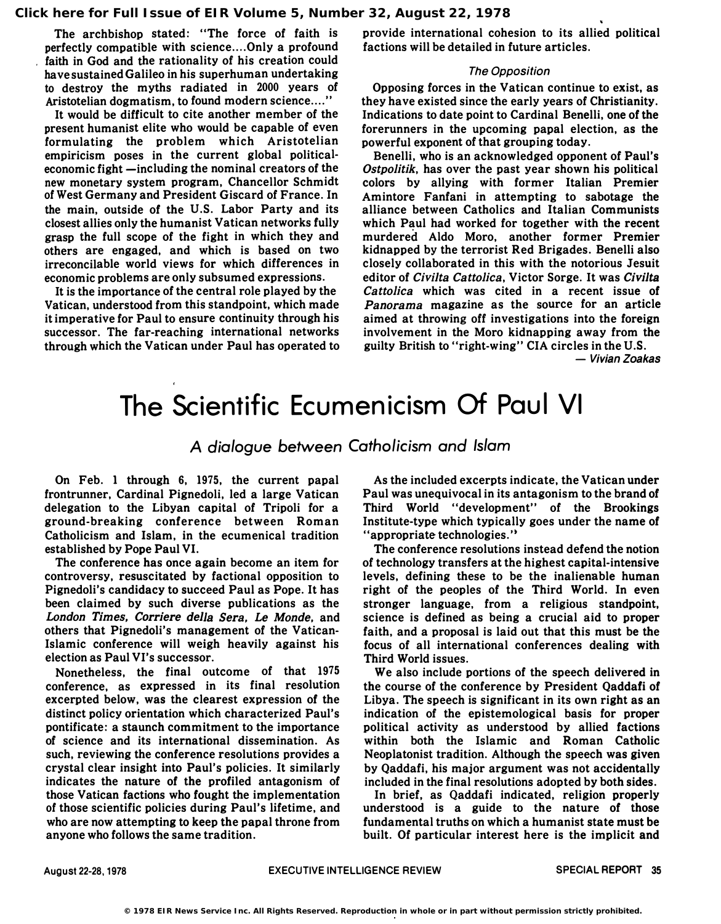The archbishop stated: "The force of faith is perfectly compatible with science....Only a profound faith in God and the rationality of his creation could have sustained Galileo in his superhuman undertaking to destroy the myths radiated in 2000 years of Aristotelian dogmatism, to found modern science...."

It would be difficult to cite another member of the present humanist elite who would be capable of even formulating the problem which Aristotelian empiricism poses in the current global politicaleconomic fight —including the nominal creators of the new monetary system program, Chancellor Schmidt of West Germany and President Giscard of France. In the main, outside of the U.S. Labor Party and its closest allies only the humanist Vatican networks fully grasp the full scope of the fight in which they and others are engaged, and which is based on two irreconcilable world views for which differences in economic problems are only subsumed expressions.

It is the importance of the central role played by the Vatican, understood from this standpoint, which made it imperative for Paul to ensure continuity through his successor. The far-reaching international networks through which the Vatican under Paul has operated to provide international cohesion to its allied political factions will be detailed in future articles.

## The Opposition

Opposing forces in the Vatican continue to exist, as they have existed since the early years of Christianity. Indications to date point to Cardinal Benelli, one of the forerunners in the upcoming papal election, as the powerful exponent of that grouping today.

Benelli, who is an acknowledged opponent of Paul's Ostpolitik, has over the past year shown his political colors by allying with former Italian Premier Amintore Fanfani in attempting to sabotage the alliance between Catholics and Italian Communists which Paul had worked for together with the recent murdered Aldo Moro, another former Premier kidnapped by the terrorist Red Brigades. Benelli also closely collaborated in this with the notorious Jesuit editor of Civilta Cattolica, Victor Sorge. It was Civilta Cattolica which was cited in a recent issue of Panorama magazine as the source for an article aimed at throwing off investigations into the foreign involvement in the Moro kidnapping away from the guilty British to "right-wing " CIA circles in the U.S.

- Vivian Zoakas

## The Scientific Ecumenicism Of Paul VI

A dialogue between Catholicism and Islam

On Feb. 1 through 6, 1975, the current papal frontrunner, Cardinal Pignedoli, led a large Vatican delegation to the Libyan capital of Tripoli for a ground-breaking conference between Roman Catholicism and Islam, in the ecumenical tradition established by Pope Paul VI.

The conference has once again become an item for controversy, resuscitated by factional opposition to Pignedoli's candidacy to succeed Paul as Pope. It has been claimed by such diverse publications as the London Times, Corriere della Sera. Le Monde. and others that Pignedoli's management of the Vatican-Islamic conference will weigh heavily against his election as Paul VI's successor.

Nonetheless, the final outcome of that 1975 conference, as expressed in its final resolution excerpted below, was the clearest expression of the distinct policy orientation which characterized Paul's pontificate: a staunch commitment to the importance of science and its international dissemination. As such, reviewing the conference resolutions provides a crystal clear insight into Paul's policies. It similarly indicates the nature of the profiled antagonism of those Vatican factions who fought the implementation of those scientific policies during Paul's lifetime, and who are now attempting to keep the papal throne from anyone who follows the same tradition.

As the included excerpts indicate, the Vatican under Paul was unequivocal in its antagonism to the brand of Third World "development" of the Brookings Institute-type which typically goes under the name of "appropriate technologies."

The conference resolutions instead defend the notion of technology transfers at the highest capital-intensive levels, defining these to be the inalienable human right of the peoples of the Third World. In even stronger language, from a religious standpoint, science is defined as being a crucial aid to proper faith, and a proposal is laid out that this must be the focus of all international conferences dealing with Third World issues.

We also include portions of the speech delivered in the course of the conference by President Qaddafi of Libya. The speech is significant in its own right as an indication of the epistemological basis for proper political activity as understood by allied factions within both the Islamic and Roman Catholic Neoplatonist tradition. Although the speech was given by Qaddafi, his major argument was not accidentally included in the final resolutions adopted by both sides.

In brief. as Qaddafi indicated, religion properly understood is a guide to the nature of those fundamental truths on which a humanist state must be built. Of particular interest here is the implicit and